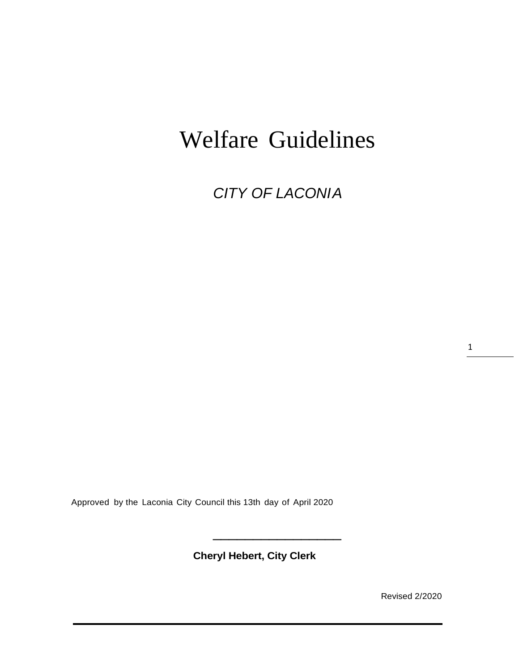# Welfare Guidelines

*CITY OF LACONIA*

1

Approved by the Laconia City Council this 13th day of April 2020

**Cheryl Hebert, City Clerk**

\_\_\_\_\_\_\_\_\_\_\_\_\_\_\_\_

Revised 2/2020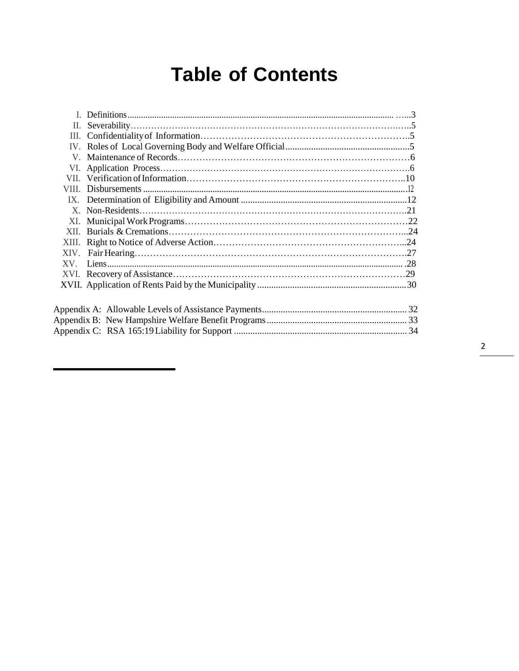# **Table of Contents**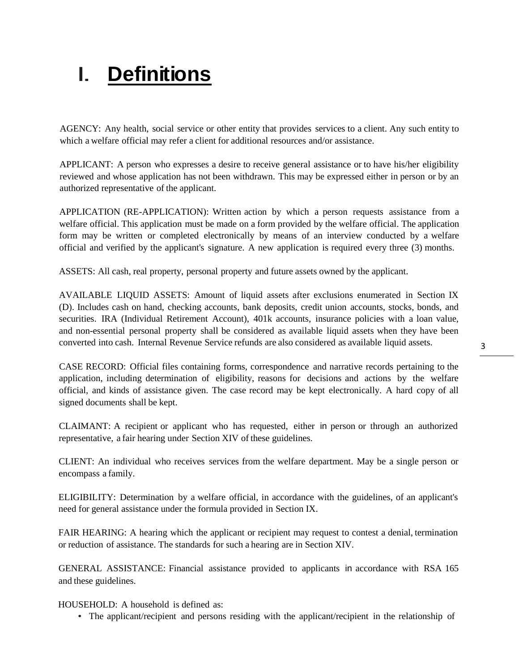# I. **Definitions**

AGENCY: Any health, social service or other entity that provides services to a client. Any such entity to which a welfare official may refer a client for additional resources and/or assistance.

APPLICANT: A person who expresses a desire to receive general assistance or to have his/her eligibility reviewed and whose application has not been withdrawn. This may be expressed either in person or by an authorized representative of the applicant.

APPLICATION (RE-APPLICATION): Written action by which a person requests assistance from a welfare official. This application must be made on a form provided by the welfare official. The application form may be written or completed electronically by means of an interview conducted by a welfare official and verified by the applicant's signature. A new application is required every three (3) months.

ASSETS: All cash, real property, personal property and future assets owned by the applicant.

AVAILABLE LIQUID ASSETS: Amount of liquid assets after exclusions enumerated in Section IX (D). Includes cash on hand, checking accounts, bank deposits, credit union accounts, stocks, bonds, and securities. IRA (Individual Retirement Account), 401k accounts, insurance policies with a loan value, and non-essential personal property shall be considered as available liquid assets when they have been converted into cash. Internal Revenue Service refunds are also considered as available liquid assets.

CASE RECORD: Official files containing forms, correspondence and narrative records pertaining to the application, including determination of eligibility, reasons for decisions and actions by the welfare official, and kinds of assistance given. The case record may be kept electronically. A hard copy of all signed documents shall be kept.

CLAIMANT: A recipient or applicant who has requested, either in person or through an authorized representative, a fair hearing under Section XIV of these guidelines.

CLIENT: An individual who receives services from the welfare department. May be a single person or encompass a family.

ELIGIBILITY: Determination by a welfare official, in accordance with the guidelines, of an applicant's need for general assistance under the formula provided in Section IX.

FAIR HEARING: A hearing which the applicant or recipient may request to contest a denial, termination or reduction of assistance. The standards for such a hearing are in Section XIV.

GENERAL ASSISTANCE: Financial assistance provided to applicants in accordance with RSA 165 and these guidelines.

HOUSEHOLD: A household is defined as:

• The applicant/recipient and persons residing with the applicant/recipient in the relationship of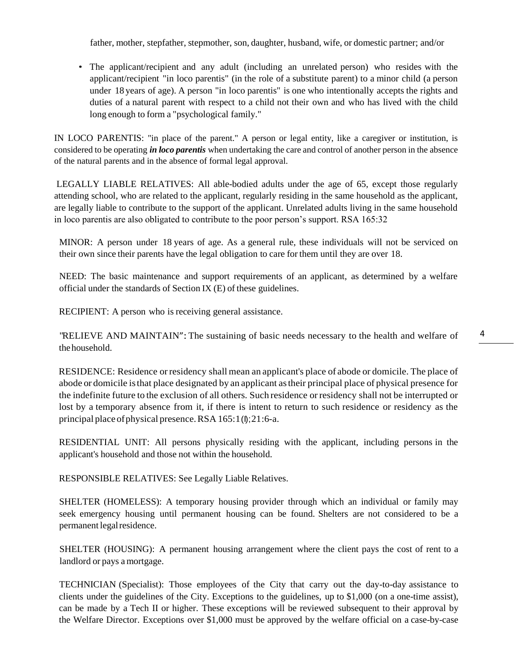father, mother, stepfather, stepmother, son, daughter, husband, wife, or domestic partner; and/or

• The applicant/recipient and any adult (including an unrelated person) who resides with the applicant/recipient "in loco parentis" (in the role of a substitute parent) to a minor child (a person under 18 years of age). A person "in loco parentis" is one who intentionally accepts the rights and duties of a natural parent with respect to a child not their own and who has lived with the child long enough to form a "psychological family."

IN LOCO PARENTIS: "in place of the parent." A person or legal entity, like a caregiver or institution, is considered to be operating *in loco parentis* when undertaking the care and control of another person in the absence of the natural parents and in the absence of formal legal approval.

LEGALLY LIABLE RELATIVES: All able-bodied adults under the age of 65, except those regularly attending school, who are related to the applicant, regularly residing in the same household as the applicant, are legally liable to contribute to the support of the applicant. Unrelated adults living in the same household in loco parentis are also obligated to contribute to the poor person's support. RSA 165:32

MINOR: A person under 18 years of age. As a general rule, these individuals will not be serviced on their own since their parents have the legal obligation to care for them until they are over 18.

NEED: The basic maintenance and support requirements of an applicant, as determined by a welfare official under the standards of Section IX (E) of these guidelines.

RECIPIENT: A person who is receiving general assistance.

"RELIEVE AND MAINTAIN":The sustaining of basic needs necessary to the health and welfare of thehousehold.

RESIDENCE: Residence orresidency shall mean an applicant's place of abode or domicile. The place of abode or domicile isthat place designated by an applicant astheir principal place of physical presence for the indefinite future to the exclusion of all others. Such residence orresidency shall not be interrupted or lost by a temporary absence from it, if there is intent to return to such residence or residency as the principal place of physical presence. RSA 165:1(0);21:6-a.

RESIDENTIAL UNIT: All persons physically residing with the applicant, including persons in the applicant's household and those not within the household.

RESPONSIBLE RELATIVES: See Legally Liable Relatives.

SHELTER (HOMELESS): A temporary housing provider through which an individual or family may seek emergency housing until permanent housing can be found. Shelters are not considered to be a permanent legal residence.

SHELTER (HOUSING): A permanent housing arrangement where the client pays the cost of rent to a landlord or pays amortgage.

TECHNICIAN (Specialist): Those employees of the City that carry out the day-to-day assistance to clients under the guidelines of the City. Exceptions to the guidelines, up to \$1,000 (on a one-time assist), can be made by a Tech II or higher. These exceptions will be reviewed subsequent to their approval by the Welfare Director. Exceptions over \$1,000 must be approved by the welfare official on a case-by-case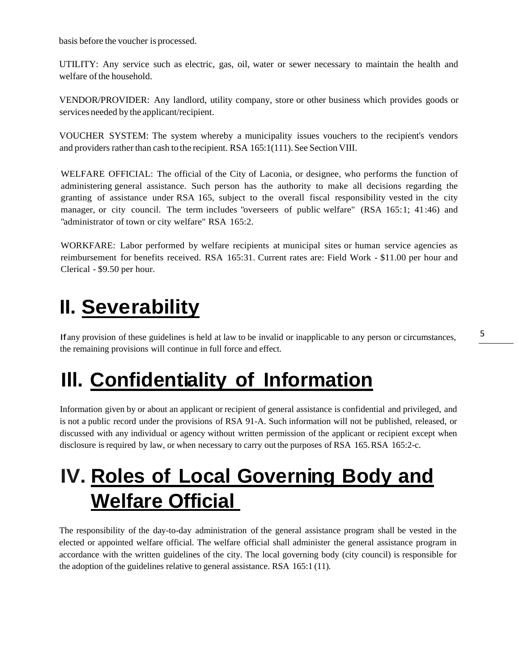basis before the voucher is processed.

UTILITY: Any service such as electric, gas, oil, water or sewer necessary to maintain the health and welfare of the household.

VENDOR/PROVIDER: Any landlord, utility company, store or other business which provides goods or services needed by the applicant/recipient.

VOUCHER SYSTEM: The system whereby a municipality issues vouchers to the recipient's vendors and providers rather than cash to the recipient. RSA 165:1(111). See Section VIII.

WELFARE OFFICIAL: The official of the City of Laconia, or designee, who performs the function of administering general assistance. Such person has the authority to make all decisions regarding the granting of assistance under RSA 165, subject to the overall fiscal responsibility vested in the city manager, or city council. The term includes "overseers of public welfare" (RSA 165:1; 41:46) and "administrator of town or city welfare" RSA 165:2.

WORKFARE: Labor performed by welfare recipients at municipal sites or human service agencies as reimbursement for benefits received. RSA 165:31. Current rates are: Field Work - \$11.00 per hour and Clerical - \$9.50 per hour.

# <span id="page-4-0"></span>**II. Severability**

Ifany provision of these guidelines is held at law to be invalid or inapplicable to any person or circumstances, the remaining provisions will continue in full force and effect.

# **Ill. Confidentiality of Information**

Information given by or about an applicant or recipient of general assistance is confidential and privileged, and is not a public record under the provisions of RSA 91-A. Such information will not be published, released, or discussed with any individual or agency without written permission of the applicant or recipient except when disclosure is required by law, or when necessary to carry out the purposes of RSA 165.RSA 165:2-c.

# <span id="page-4-1"></span>**IV. Roles of Local Governing Body and Welfare Official**

The responsibility of the day-to-day administration of the general assistance program shall be vested in the elected or appointed welfare official. The welfare official shall administer the general assistance program in accordance with the written guidelines of the city. The local governing body (city council) is responsible for the adoption of the guidelines relative to general assistance. RSA  $165:1(11)$ .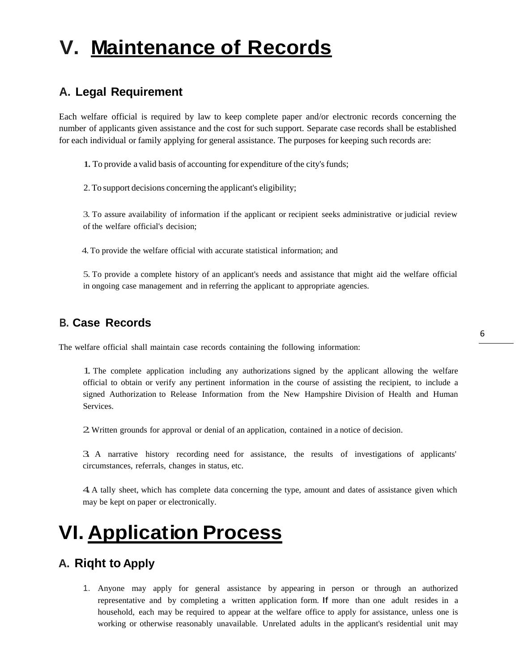# <span id="page-5-0"></span>**V. Maintenance of Records**

# **A. Legal Requirement**

Each welfare official is required by law to keep complete paper and/or electronic records concerning the number of applicants given assistance and the cost for such support. Separate case records shall be established for each individual or family applying for general assistance. The purposes for keeping such records are:

**1.** To provide a valid basis of accounting for expenditure of the city's funds;

2. To support decisions concerning the applicant's eligibility;

3. To assure availability of information if the applicant or recipient seeks administrative or judicial review of the welfare official's decision;

4.To provide the welfare official with accurate statistical information; and

5. To provide a complete history of an applicant's needs and assistance that might aid the welfare official in ongoing case management and in referring the applicant to appropriate agencies.

### **B. Case Records**

The welfare official shall maintain case records containing the following information:

1. The complete application including any authorizations signed by the applicant allowing the welfare official to obtain or verify any pertinent information in the course of assisting the recipient, to include a signed Authorization to Release Information from the New Hampshire Division of Health and Human Services.

2.Written grounds for approval or denial of an application, contained in <sup>a</sup> notice of decision.

3. <sup>A</sup> narrative history recording need for assistance, the results of investigations of applicants' circumstances, referrals, changes in status, etc.

4.<sup>A</sup> tally sheet, which has complete data concerning the type, amount and dates of assistance given which may be kept on paper or electronically.

# <span id="page-5-1"></span>**VI. Application Process**

### **A. Riqht to Apply**

1. Anyone may apply for general assistance by appearing in person or through an authorized representative and by completing a written application form. If more than one adult resides in a household, each may be required to appear at the welfare office to apply for assistance, unless one is working or otherwise reasonably unavailable. Unrelated adults in the applicant's residential unit may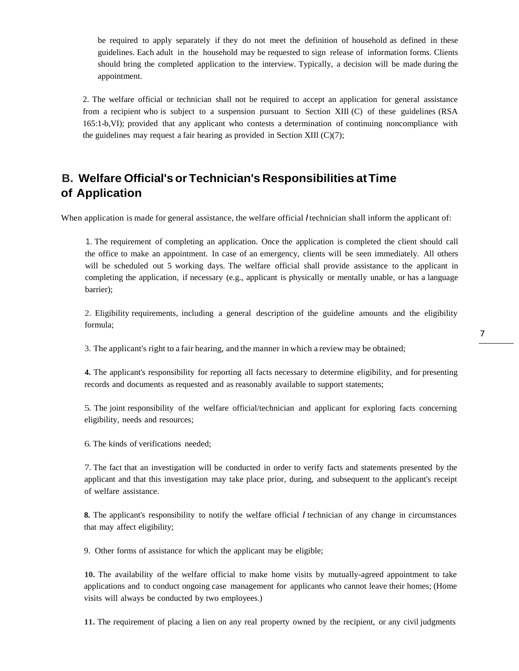be required to apply separately if they do not meet the definition of household as defined in these guidelines. Each adult in the household may be requested to sign release of information forms. Clients should bring the completed application to the interview. Typically, a decision will be made during the appointment.

2. The welfare official or technician shall not be required to accept an application for general assistance from a recipient who is subject to a suspension pursuant to Section XIIl (C) of these guidelines (RSA 165:1-b,VI); provided that any applicant who contests a determination of continuing noncompliance with the guidelines may request a fair hearing as provided in Section XIIl (C)(7);

# **B. Welfare Official's or Technician's Responsibilities atTime of Application**

When application is made for general assistance, the welfare official *I* technician shall inform the applicant of:

1. The requirement of completing an application. Once the application is completed the client should call the office to make an appointment. In case of an emergency, clients will be seen immediately. All others will be scheduled out 5 working days. The welfare official shall provide assistance to the applicant in completing the application, if necessary (e.g., applicant is physically or mentally unable, or has a language barrier);

2. Eligibility requirements, including a general description of the guideline amounts and the eligibility formula;

3. The applicant's right to a fair hearing, and the manner in which a review may be obtained;

**4.** The applicant's responsibility for reporting all facts necessary to determine eligibility, and for presenting records and documents as requested and as reasonably available to support statements;

5. The joint responsibility of the welfare official/technician and applicant for exploring facts concerning eligibility, needs and resources;

6. The kinds of verifications needed;

7. The fact that an investigation will be conducted in order to verify facts and statements presented by the applicant and that this investigation may take place prior, during, and subsequent to the applicant's receipt of welfare assistance.

**8.** The applicant's responsibility to notify the welfare official *I* technician of any change in circumstances that may affect eligibility;

9. Other forms of assistance for which the applicant may be eligible;

**10.** The availability of the welfare official to make home visits by mutually-agreed appointment to take applications and to conduct ongoing case management for applicants who cannot leave their homes; (Home visits will always be conducted by two employees.)

**11.** The requirement of placing a lien on any real property owned by the recipient, or any civil judgments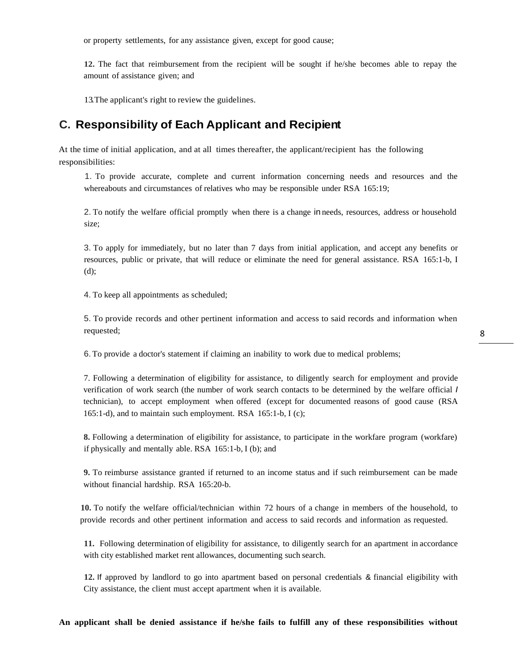or property settlements, for any assistance given, except for good cause;

**12.** The fact that reimbursement from the recipient will be sought if he/she becomes able to repay the amount of assistance given; and

13.The applicant's right to review the guidelines.

#### **C. Responsibility of Each Applicant and Recipient**

At the time of initial application, and at all times thereafter, the applicant/recipient has the following responsibilities:

1. To provide accurate, complete and current information concerning needs and resources and the whereabouts and circumstances of relatives who may be responsible under RSA 165:19;

2. To notify the welfare official promptly when there is a change in needs, resources, address or household size;

3. To apply for immediately, but no later than 7 days from initial application, and accept any benefits or resources, public or private, that will reduce or eliminate the need for general assistance. RSA 165:1-b, I (d);

4. To keep all appointments as scheduled;

5. To provide records and other pertinent information and access to said records and information when requested;

6. To provide a doctor's statement if claiming an inability to work due to medical problems;

7. Following a determination of eligibility for assistance, to diligently search for employment and provide verification of work search (the number of work search contacts to be determined by the welfare official *I* technician), to accept employment when offered (except for documented reasons of good cause (RSA 165:1-d), and to maintain such employment. RSA 165:1-b, I (c);

**8.** Following a determination of eligibility for assistance, to participate in the workfare program (workfare) if physically and mentally able. RSA 165:1-b, I (b); and

**9.** To reimburse assistance granted if returned to an income status and if such reimbursement can be made without financial hardship. RSA 165:20-b.

**10.** To notify the welfare official/technician within 72 hours of a change in members of the household, to provide records and other pertinent information and access to said records and information as requested.

**11.** Following determination of eligibility for assistance, to diligently search for an apartment in accordance with city established market rent allowances, documenting such search.

**12.** If approved by landlord to go into apartment based on personal credentials & financial eligibility with City assistance, the client must accept apartment when it is available.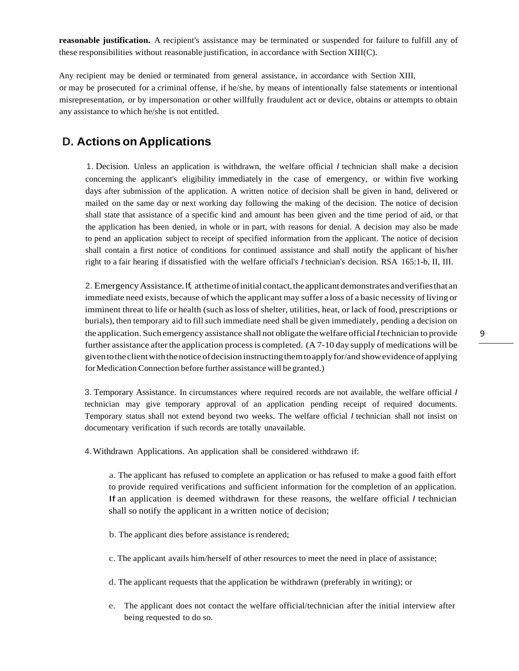**reasonable justification.** A recipient's assistance may be terminated or suspended for failure to fulfill any of these responsibilities without reasonable justification, in accordance with Section XIII(C).

Any recipient may be denied or terminated from general assistance, in accordance with Section XIII, or may be prosecuted for a criminal offense, if he/she, by means of intentionally false statements or intentional misrepresentation, or by impersonation or other willfully fraudulent act or device, obtains or attempts to obtain any assistance to which he/she is not entitled.

### **D. Actions on Applications**

1. Decision. Unless an application is withdrawn, the welfare official *I* technician shall make a decision concerning the applicant's eligibility immediately in the case of emergency, or within five working days after submission of the application. A written notice of decision shall be given in hand, delivered or mailed on the same day or next working day following the making of the decision. The notice of decision shall state that assistance of a specific kind and amount has been given and the time period of aid, or that the application has been denied, in whole or in part, with reasons for denial. A decision may also be made to pend an application subject to receipt of specified information from the applicant. The notice of decision shall contain a first notice of conditions for continued assistance and shall notify the applicant of his/her right to a fair hearing if dissatisfied with the welfare official's *I* technician's decision. RSA 165:1-b, II, III.

2. EmergencyAssistance.If, atthetimeofinitial contact,theapplicantdemonstrates andverifiesthatan immediate need exists, because of which the applicant may suffer a loss of a basic necessity of living or imminent threat to life or health (such asloss of shelter, utilities, heat, or lack of food, prescriptions or burials), then temporary aid to fill such immediate need shall be given immediately, pending a decision on the application. Such emergency assistance shall not obligate thewelfare official *I*technician to provide further assistance after the application process is completed.  $(A 7-10 \text{ day supply of predictions will be}$ given to the client with the notice of decision instructing them to apply for/and show evidence of applying forMedication Connection before further assistance will be granted.)

3. Temporary Assistance. In circumstances where required records are not available, the welfare official *I* technician may give temporary approval of an application pending receipt of required documents. Temporary status shall not extend beyond two weeks. The welfare official *I* technician shall not insist on documentary verification if such records are totally unavailable.

4.Withdrawn Applications. An application shall be considered withdrawn if:

a. The applicant has refused to complete an application or has refused to make a good faith effort to provide required verifications and sufficient information for the completion of an application. If an application is deemed withdrawn for these reasons, the welfare official *I* technician shall so notify the applicant in a written notice of decision;

- b. The applicant dies before assistance is rendered;
- c. The applicant avails him/herself of other resources to meet the need in place of assistance;
- d. The applicant requests that the application be withdrawn (preferably in writing); or
- e. The applicant does not contact the welfare official/technician after the initial interview after being requested to do so.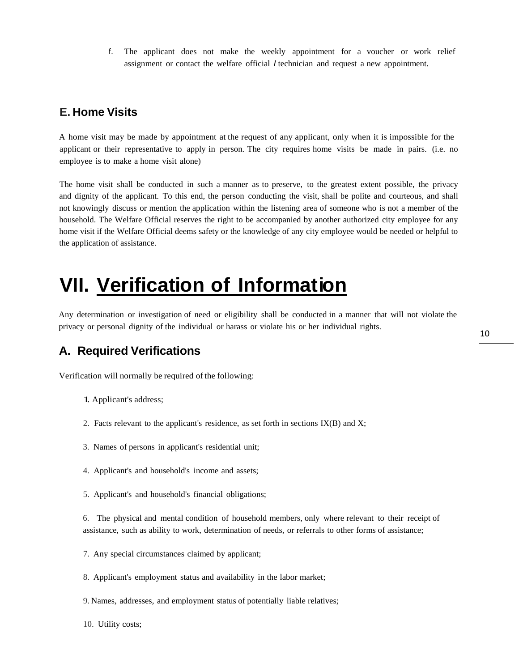f. The applicant does not make the weekly appointment for a voucher or work relief assignment or contact the welfare official *I* technician and request a new appointment.

### **E. Home Visits**

A home visit may be made by appointment at the request of any applicant, only when it is impossible for the applicant or their representative to apply in person. The city requires home visits be made in pairs. (i.e. no employee is to make a home visit alone)

The home visit shall be conducted in such a manner as to preserve, to the greatest extent possible, the privacy and dignity of the applicant. To this end, the person conducting the visit, shall be polite and courteous, and shall not knowingly discuss or mention the application within the listening area of someone who is not a member of the household. The Welfare Official reserves the right to be accompanied by another authorized city employee for any home visit if the Welfare Official deems safety or the knowledge of any city employee would be needed or helpful to the application of assistance.

# <span id="page-9-0"></span>**VII. Verification of Information**

Any determination or investigation of need or eligibility shall be conducted in a manner that will not violate the privacy or personal dignity of the individual or harass or violate his or her individual rights.

## **A. Required Verifications**

Verification will normally be required of the following:

- 1. Applicant's address;
- 2. Facts relevant to the applicant's residence, as set forth in sections IX(B) and X;
- 3. Names of persons in applicant's residential unit;
- 4. Applicant's and household's income and assets;
- 5. Applicant's and household's financial obligations;

6. The physical and mental condition of household members, only where relevant to their receipt of assistance, such as ability to work, determination of needs, or referrals to other forms of assistance;

- 7. Any special circumstances claimed by applicant;
- 8. Applicant's employment status and availability in the labor market;
- 9. Names, addresses, and employment status of potentially liable relatives;
- 10. Utility costs;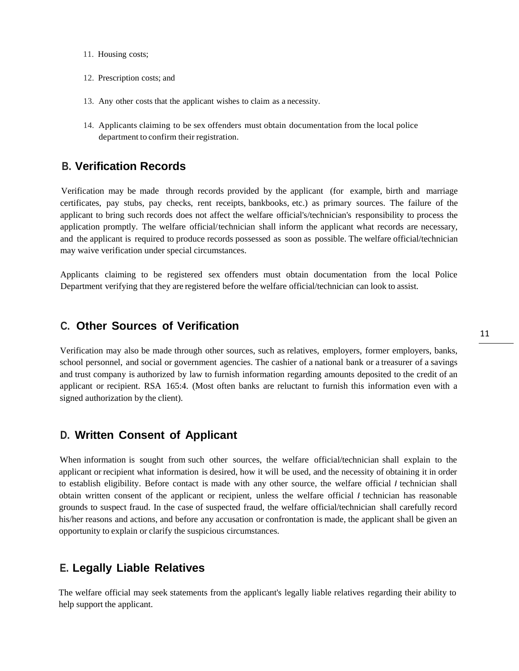- 11. Housing costs;
- 12. Prescription costs; and
- 13. Any other costs that the applicant wishes to claim as a necessity.
- 14. Applicants claiming to be sex offenders must obtain documentation from the local police department to confirm their registration.

### **B. Verification Records**

Verification may be made through records provided by the applicant (for example, birth and marriage certificates, pay stubs, pay checks, rent receipts, bankbooks, etc.) as primary sources. The failure of the applicant to bring such records does not affect the welfare official's/technician's responsibility to process the application promptly. The welfare official/technician shall inform the applicant what records are necessary, and the applicant is required to produce records possessed as soon as possible. The welfare official/technician may waive verification under special circumstances.

Applicants claiming to be registered sex offenders must obtain documentation from the local Police Department verifying that they are registered before the welfare official/technician can look to assist.

#### **C. Other Sources of Verification**

Verification may also be made through other sources, such as relatives, employers, former employers, banks, school personnel, and social or government agencies. The cashier of a national bank or a treasurer of a savings and trust company is authorized by law to furnish information regarding amounts deposited to the credit of an applicant or recipient. RSA 165:4. (Most often banks are reluctant to furnish this information even with a signed authorization by the client).

#### **D. Written Consent of Applicant**

When information is sought from such other sources, the welfare official/technician shall explain to the applicant or recipient what information is desired, how it will be used, and the necessity of obtaining it in order to establish eligibility. Before contact is made with any other source, the welfare official *I* technician shall obtain written consent of the applicant or recipient, unless the welfare official *I* technician has reasonable grounds to suspect fraud. In the case of suspected fraud, the welfare official/technician shall carefully record his/her reasons and actions, and before any accusation or confrontation is made, the applicant shall be given an opportunity to explain or clarify the suspicious circumstances.

### **E. Legally Liable Relatives**

The welfare official may seek statements from the applicant's legally liable relatives regarding their ability to help support the applicant.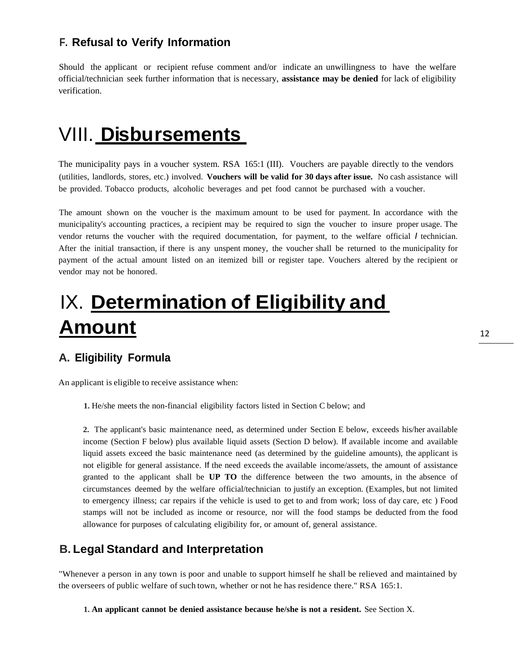### **F. Refusal to Verify Information**

Should the applicant or recipient refuse comment and/or indicate an unwillingness to have the welfare official/technician seek further information that is necessary, **assistance may be denied** for lack of eligibility verification.

# <span id="page-11-0"></span>VIII. **Disbursements**

The municipality pays in a voucher system. RSA 165:1 (III). Vouchers are payable directly to the vendors (utilities, landlords, stores, etc.) involved. **Vouchers will be valid for 30 days after issue.** No cash assistance will be provided. Tobacco products, alcoholic beverages and pet food cannot be purchased with a voucher.

The amount shown on the voucher is the maximum amount to be used for payment. In accordance with the municipality's accounting practices, a recipient may be required to sign the voucher to insure proper usage. The vendor returns the voucher with the required documentation, for payment, to the welfare official *I* technician. After the initial transaction, if there is any unspent money, the voucher shall be returned to the municipality for payment of the actual amount listed on an itemized bill or register tape. Vouchers altered by the recipient or vendor may not be honored.

# <span id="page-11-1"></span>IX. **Determination of Eligibility and Amount**

### **A. Eligibility Formula**

An applicant is eligible to receive assistance when:

**1.** He/she meets the non-financial eligibility factors listed in Section C below; and

**2.** The applicant's basic maintenance need, as determined under Section E below, exceeds his/her available income (Section F below) plus available liquid assets (Section D below). If available income and available liquid assets exceed the basic maintenance need (as determined by the guideline amounts), the applicant is not eligible for general assistance. If the need exceeds the available income/assets, the amount of assistance granted to the applicant shall be **UP TO** the difference between the two amounts, in the absence of circumstances deemed by the welfare official/technician to justify an exception. (Examples, but not limited to emergency illness; car repairs if the vehicle is used to get to and from work; loss of day care, etc ) Food stamps will not be included as income or resource, nor will the food stamps be deducted from the food allowance for purposes of calculating eligibility for, or amount of, general assistance.

### **B. Legal Standard and Interpretation**

"Whenever a person in any town is poor and unable to support himself he shall be relieved and maintained by the overseers of public welfare of such town, whether or not he has residence there." RSA 165:1.

**1. An applicant cannot be denied assistance because he/she is not a resident.** See Section X.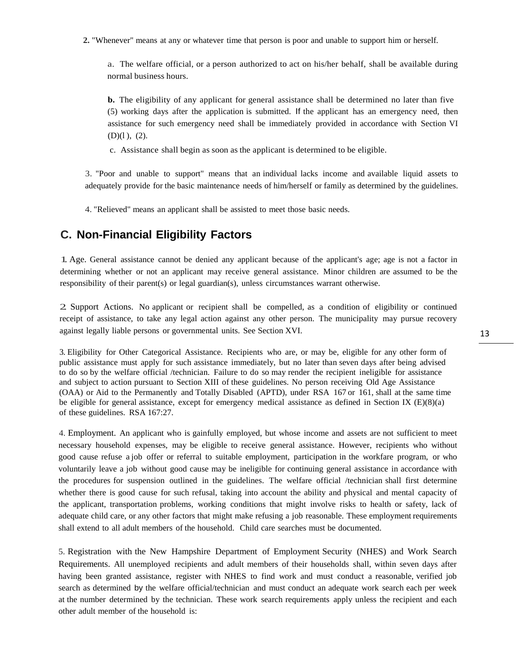**2.** "Whenever" means at any or whatever time that person is poor and unable to support him or herself.

a. The welfare official, or a person authorized to act on his/her behalf, shall be available during normal business hours.

**b.** The eligibility of any applicant for general assistance shall be determined no later than five (5) working days after the application is submitted. If the applicant has an emergency need, then assistance for such emergency need shall be immediately provided in accordance with Section VI (D)(l ), (2).

c. Assistance shall begin as soon as the applicant is determined to be eligible.

3. "Poor and unable to support" means that an individual lacks income and available liquid assets to adequately provide for the basic maintenance needs of him/herself or family as determined by the guidelines.

4. "Relieved" means an applicant shall be assisted to meet those basic needs.

### **C. Non-Financial Eligibility Factors**

1. Age. General assistance cannot be denied any applicant because of the applicant's age; age is not <sup>a</sup> factor in determining whether or not an applicant may receive general assistance. Minor children are assumed to be the responsibility of their parent(s) or legal guardian(s), unless circumstances warrant otherwise.

2. Support Actions. No applicant or recipient shall be compelled, as <sup>a</sup> condition of eligibility or continued receipt of assistance, to take any legal action against any other person. The municipality may pursue recovery against legally liable persons or governmental units. See Section XVI.

3. Eligibility for Other Categorical Assistance. Recipients who are, or may be, eligible for any other form of public assistance must apply for such assistance immediately, but no later than seven days after being advised to do so by the welfare official /technician. Failure to do so may render the recipient ineligible for assistance and subject to action pursuant to Section XIII of these guidelines. No person receiving Old Age Assistance (OAA) or Aid to the Permanently and Totally Disabled (APTD), under RSA 167 or 161, shall at the same time be eligible for general assistance, except for emergency medical assistance as defined in Section IX (E)(8)(a) of these guidelines. RSA 167:27.

4. Employment. An applicant who is gainfully employed, but whose income and assets are not sufficient to meet necessary household expenses, may be eligible to receive general assistance. However, recipients who without good cause refuse a job offer or referral to suitable employment, participation in the workfare program, or who voluntarily leave a job without good cause may be ineligible for continuing general assistance in accordance with the procedures for suspension outlined in the guidelines. The welfare official /technician shall first determine whether there is good cause for such refusal, taking into account the ability and physical and mental capacity of the applicant, transportation problems, working conditions that might involve risks to health or safety, lack of adequate child care, or any other factors that might make refusing a job reasonable. These employment requirements shall extend to all adult members of the household. Child care searches must be documented.

5. Registration with the New Hampshire Department of Employment Security (NHES) and Work Search Requirements. All unemployed recipients and adult members of their households shall, within seven days after having been granted assistance, register with NHES to find work and must conduct a reasonable, verified job search as determined by the welfare official/technician and must conduct an adequate work search each per week at the number determined by the technician. These work search requirements apply unless the recipient and each other adult member of the household is: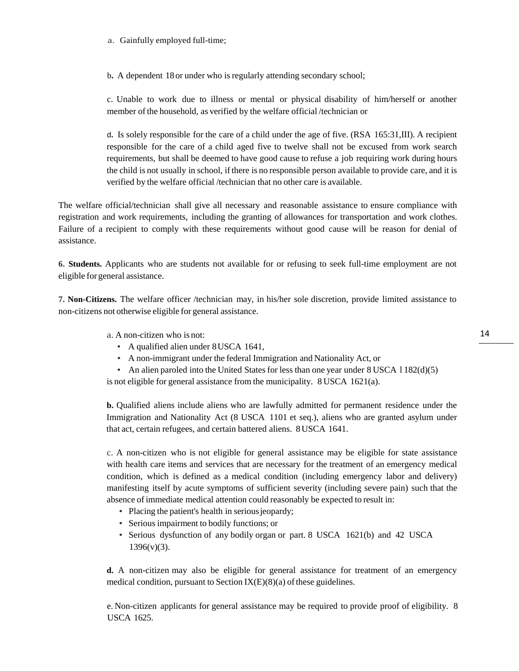a. Gainfully employed full-time;

b. A dependent 18 or under who is regularly attending secondary school;

c. Unable to work due to illness or mental or physical disability of him/herself or another member of the household, as verified by the welfare official /technician or

d**.** Is solely responsible for the care of a child under the age of five. (RSA 165:31,III). A recipient responsible for the care of a child aged five to twelve shall not be excused from work search requirements, but shall be deemed to have good cause to refuse a job requiring work during hours the child is not usually in school, ifthere is no responsible person available to provide care, and it is verified by the welfare official /technician that no other care is available.

The welfare official/technician shall give all necessary and reasonable assistance to ensure compliance with registration and work requirements, including the granting of allowances for transportation and work clothes. Failure of a recipient to comply with these requirements without good cause will be reason for denial of assistance.

**6. Students.** Applicants who are students not available for or refusing to seek full-time employment are not eligible for general assistance.

**7. Non-Citizens.** The welfare officer /technician may, in his/her sole discretion, provide limited assistance to non-citizens not otherwise eligible for general assistance.

- a. A non-citizen who is not:
	- A qualified alien under 8USCA 1641,
	- A non-immigrant under the federal Immigration and Nationality Act, or
	- An alien paroled into the United States for less than one year under  $8$  USCA  $1182(d)(5)$

is not eligible for general assistance from the municipality. 8 USCA 1621(a).

**b.** Qualified aliens include aliens who are lawfully admitted for permanent residence under the Immigration and Nationality Act (8 USCA 1101 et seq.), aliens who are granted asylum under that act, certain refugees, and certain battered aliens. 8 USCA 1641.

c. A non-citizen who is not eligible for general assistance may be eligible for state assistance with health care items and services that are necessary for the treatment of an emergency medical condition, which is defined as a medical condition (including emergency labor and delivery) manifesting itself by acute symptoms of sufficient severity (including severe pain) such that the absence of immediate medical attention could reasonably be expected to result in:

- Placing the patient's health in serious jeopardy;
- Serious impairment to bodily functions; or
- Serious dysfunction of any bodily organ or part. 8 USCA 1621(b) and 42 USCA  $1396(v)(3)$ .

**d.** A non-citizen may also be eligible for general assistance for treatment of an emergency medical condition, pursuant to Section  $IX(E)(8)(a)$  of these guidelines.

e. Non-citizen applicants for general assistance may be required to provide proof of eligibility. 8 USCA 1625.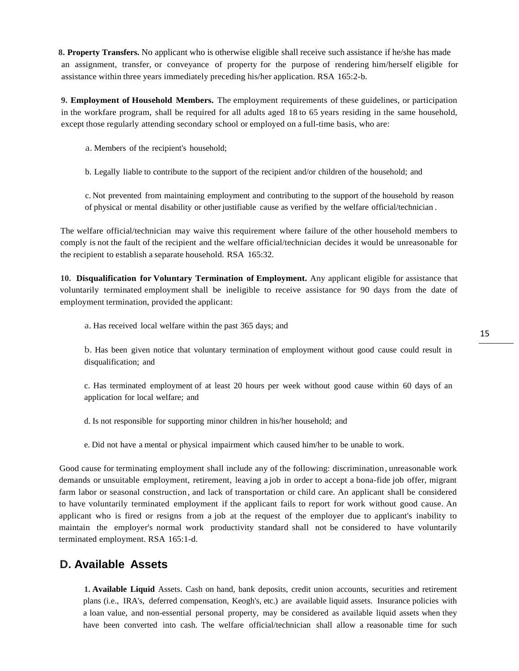**8. Property Transfers.** No applicant who is otherwise eligible shall receive such assistance if he/she has made an assignment, transfer, or conveyance of property for the purpose of rendering him/herself eligible for assistance within three years immediately preceding his/her application. RSA 165:2-b.

**9. Employment of Household Members.** The employment requirements of these guidelines, or participation in the workfare program, shall be required for all adults aged 18 to 65 years residing in the same household, except those regularly attending secondary school or employed on a full-time basis, who are:

a. Members of the recipient's household;

b. Legally liable to contribute to the support of the recipient and/or children of the household; and

c. Not prevented from maintaining employment and contributing to the support of the household by reason of physical or mental disability or other justifiable cause as verified by the welfare official/technician .

The welfare official/technician may waive this requirement where failure of the other household members to comply is not the fault of the recipient and the welfare official/technician decides it would be unreasonable for the recipient to establish a separate household. RSA 165:32.

**10. Disqualification for Voluntary Termination of Employment.** Any applicant eligible for assistance that voluntarily terminated employment shall be ineligible to receive assistance for 90 days from the date of employment termination, provided the applicant:

a. Has received local welfare within the past 365 days; and

b. Has been given notice that voluntary termination of employment without good cause could result in disqualification; and

c. Has terminated employment of at least 20 hours per week without good cause within 60 days of an application for local welfare; and

d. Is not responsible for supporting minor children in his/her household; and

e. Did not have a mental or physical impairment which caused him/her to be unable to work.

Good cause for terminating employment shall include any of the following: discrimination, unreasonable work demands or unsuitable employment, retirement, leaving a job in order to accept a bona-fide job offer, migrant farm labor or seasonal construction, and lack of transportation or child care. An applicant shall be considered to have voluntarily terminated employment if the applicant fails to report for work without good cause. An applicant who is fired or resigns from a job at the request of the employer due to applicant's inability to maintain the employer's normal work productivity standard shall not be considered to have voluntarily terminated employment. RSA 165:1-d.

#### **D. Available Assets**

**1. Available Liquid** Assets. Cash on hand, bank deposits, credit union accounts, securities and retirement plans (i.e., IRA's, deferred compensation, Keogh's, etc.) are available liquid assets. Insurance policies with a loan value, and non-essential personal property, may be considered as available liquid assets when they have been converted into cash. The welfare official/technician shall allow a reasonable time for such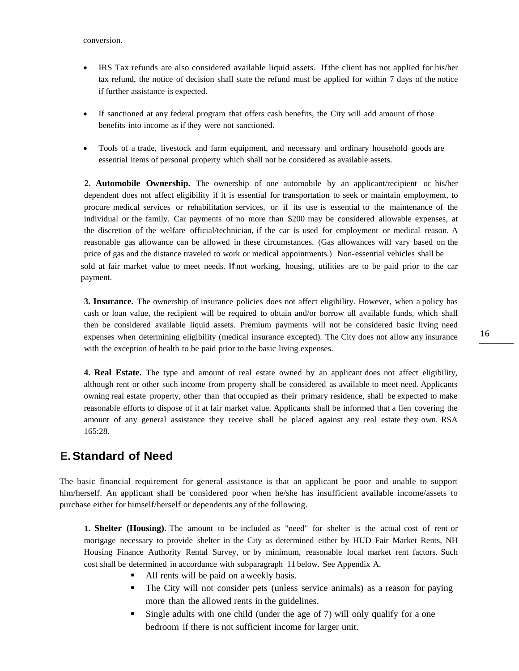- IRS Tax refunds are also considered available liquid assets. Ifthe client has not applied for his/her tax refund, the notice of decision shall state the refund must be applied for within 7 days of the notice if further assistance is expected.
- If sanctioned at any federal program that offers cash benefits, the City will add amount of those benefits into income as if they were not sanctioned.
- Tools of a trade, livestock and farm equipment, and necessary and ordinary household goods are essential items of personal property which shall not be considered as available assets.

**2. Automobile Ownership.** The ownership of one automobile by an applicant/recipient or his/her dependent does not affect eligibility if it is essential for transportation to seek or maintain employment, to procure medical services or rehabilitation services, or if its use is essential to the maintenance of the individual or the family. Car payments of no more than \$200 may be considered allowable expenses, at the discretion of the welfare official/technician, if the car is used for employment or medical reason. A reasonable gas allowance can be allowed in these circumstances. (Gas allowances will vary based on the price of gas and the distance traveled to work or medical appointments.) Non-essential vehicles shall be sold at fair market value to meet needs. If not working, housing, utilities are to be paid prior to the car payment.

**3. Insurance.** The ownership of insurance policies does not affect eligibility. However, when a policy has cash or loan value, the recipient will be required to obtain and/or borrow all available funds, which shall then be considered available liquid assets. Premium payments will not be considered basic living need expenses when determining eligibility (medical insurance excepted). The City does not allow any insurance with the exception of health to be paid prior to the basic living expenses.

**4. Real Estate.** The type and amount of real estate owned by an applicant does not affect eligibility, although rent or other such income from property shall be considered as available to meet need. Applicants owning real estate property, other than that occupied as their primary residence, shall be expected to make reasonable efforts to dispose of it at fair market value. Applicants shall be informed that a lien covering the amount of any general assistance they receive shall be placed against any real estate they own. RSA 165:28.

### **E.Standard of Need**

The basic financial requirement for general assistance is that an applicant be poor and unable to support him/herself. An applicant shall be considered poor when he/she has insufficient available income/assets to purchase either for himself/herself or dependents any of the following.

**1. Shelter (Housing).** The amount to be included as "need" for shelter is the actual cost of rent or mortgage necessary to provide shelter in the City as determined either by HUD Fair Market Rents, NH Housing Finance Authority Rental Survey, or by minimum, reasonable local market rent factors. Such cost shall be determined in accordance with subparagraph 11 below. See Appendix A.

- All rents will be paid on a weekly basis.
- The City will not consider pets (unless service animals) as a reason for paying more than the allowed rents in the guidelines.
- Single adults with one child (under the age of 7) will only qualify for a one bedroom if there is not sufficient income for larger unit.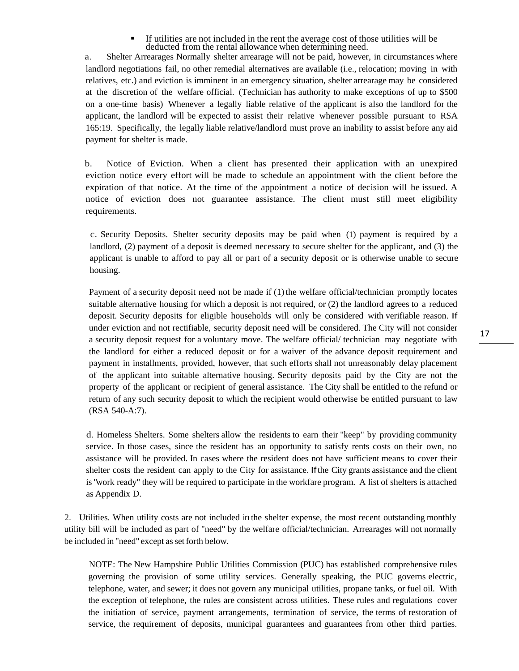If utilities are not included in the rent the average cost of those utilities will be deducted from the rental allowance when determining need.

a. Shelter Arrearages Normally shelter arrearage will not be paid, however, in circumstances where landlord negotiations fail, no other remedial alternatives are available (i.e., relocation; moving in with relatives, etc.) and eviction is imminent in an emergency situation, shelter arrearage may be considered at the discretion of the welfare official. (Technician has authority to make exceptions of up to \$500 on a one-time basis) Whenever a legally liable relative of the applicant is also the landlord for the applicant, the landlord will be expected to assist their relative whenever possible pursuant to RSA 165:19. Specifically, the legally liable relative/landlord must prove an inability to assist before any aid payment for shelter is made.

b. Notice of Eviction. When a client has presented their application with an unexpired eviction notice every effort will be made to schedule an appointment with the client before the expiration of that notice. At the time of the appointment a notice of decision will be issued. A notice of eviction does not guarantee assistance. The client must still meet eligibility requirements.

c. Security Deposits. Shelter security deposits may be paid when (1) payment is required by a landlord, (2) payment of a deposit is deemed necessary to secure shelter for the applicant, and (3) the applicant is unable to afford to pay all or part of a security deposit or is otherwise unable to secure housing.

Payment of a security deposit need not be made if  $(1)$  the welfare official/technician promptly locates suitable alternative housing for which a deposit is not required, or (2) the landlord agrees to a reduced deposit. Security deposits for eligible households will only be considered with verifiable reason. If under eviction and not rectifiable, security deposit need will be considered. The City will not consider a security deposit request for a voluntary move. The welfare official/ technician may negotiate with the landlord for either a reduced deposit or for a waiver of the advance deposit requirement and payment in installments, provided, however, that such efforts shall not unreasonably delay placement of the applicant into suitable alternative housing. Security deposits paid by the City are not the property of the applicant or recipient of general assistance. The City shall be entitled to the refund or return of any such security deposit to which the recipient would otherwise be entitled pursuant to law (RSA 540-A:7).

d. Homeless Shelters. Some shelters allow the residents to earn their "keep" by providing community service. In those cases, since the resident has an opportunity to satisfy rents costs on their own, no assistance will be provided. In cases where the resident does not have sufficient means to cover their shelter costs the resident can apply to the City for assistance. Ifthe City grants assistance and the client is "work ready" they will be required to participate in the workfare program. A list of shelters is attached as Appendix D.

2. Utilities. When utility costs are not included in the shelter expense, the most recent outstanding monthly utility bill will be included as part of "need" by the welfare official/technician. Arrearages will not normally be included in "need" except as set forth below.

NOTE: The New Hampshire Public Utilities Commission (PUC) has established comprehensive rules governing the provision of some utility services. Generally speaking, the PUC governs electric, telephone, water, and sewer; it does not govern any municipal utilities, propane tanks, or fuel oil. With the exception of telephone, the rules are consistent across utilities. These rules and regulations cover the initiation of service, payment arrangements, termination of service, the terms of restoration of service, the requirement of deposits, municipal guarantees and guarantees from other third parties.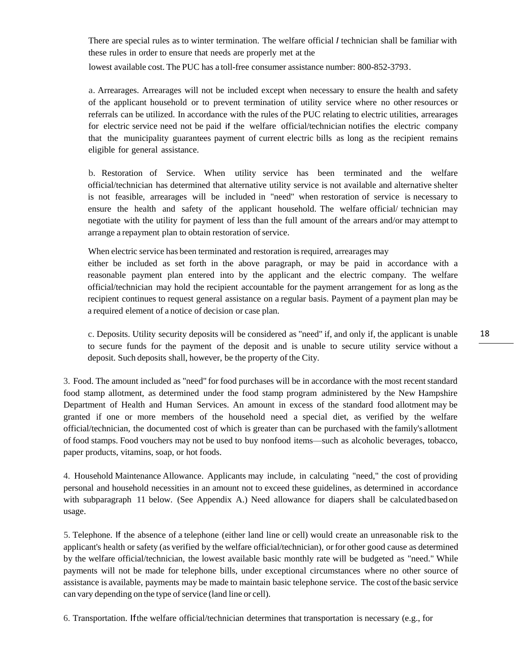There are special rules as to winter termination. The welfare official *I* technician shall be familiar with these rules in order to ensure that needs are properly met at the lowest available cost. The PUC has a toll-free consumer assistance number: 800-852-3793.

a. Arrearages. Arrearages will not be included except when necessary to ensure the health and safety of the applicant household or to prevent termination of utility service where no other resources or referrals can be utilized. In accordance with the rules of the PUC relating to electric utilities, arrearages for electric service need not be paid if the welfare official/technician notifies the electric company that the municipality guarantees payment of current electric bills as long as the recipient remains eligible for general assistance.

b. Restoration of Service. When utility service has been terminated and the welfare official/technician has determined that alternative utility service is not available and alternative shelter is not feasible, arrearages will be included in "need" when restoration of service is necessary to ensure the health and safety of the applicant household. The welfare official/ technician may negotiate with the utility for payment of less than the full amount of the arrears and/or may attempt to arrange a repayment plan to obtain restoration of service.

When electric service has been terminated and restoration is required, arrearages may

either be included as set forth in the above paragraph, or may be paid in accordance with a reasonable payment plan entered into by the applicant and the electric company. The welfare official/technician may hold the recipient accountable for the payment arrangement for as long as the recipient continues to request general assistance on a regular basis. Payment of a payment plan may be a required element of a notice of decision or case plan.

c. Deposits. Utility security deposits will be considered as "need" if, and only if, the applicant is unable to secure funds for the payment of the deposit and is unable to secure utility service without a deposit. Such deposits shall, however, be the property of the City.

3. Food. The amount included as "need" for food purchases will be in accordance with the most recentstandard food stamp allotment, as determined under the food stamp program administered by the New Hampshire Department of Health and Human Services. An amount in excess of the standard food allotment may be granted if one or more members of the household need a special diet, as verified by the welfare official/technician, the documented cost of which is greater than can be purchased with the family's allotment of food stamps. Food vouchers may not be used to buy nonfood items—such as alcoholic beverages, tobacco, paper products, vitamins, soap, or hot foods.

4. Household Maintenance Allowance. Applicants may include, in calculating "need," the cost of providing personal and household necessities in an amount not to exceed these guidelines, as determined in accordance with subparagraph 11 below. (See Appendix A.) Need allowance for diapers shall be calculated based on usage.

5. Telephone. If the absence of a telephone (either land line or cell) would create an unreasonable risk to the applicant's health or safety (as verified by the welfare official/technician), or for other good cause as determined by the welfare official/technician, the lowest available basic monthly rate will be budgeted as "need." While payments will not be made for telephone bills, under exceptional circumstances where no other source of assistance is available, payments may be made to maintain basic telephone service. The cost ofthe basic service can vary depending on the type of service (land line or cell).

6. Transportation. Ifthe welfare official/technician determines that transportation is necessary (e.g., for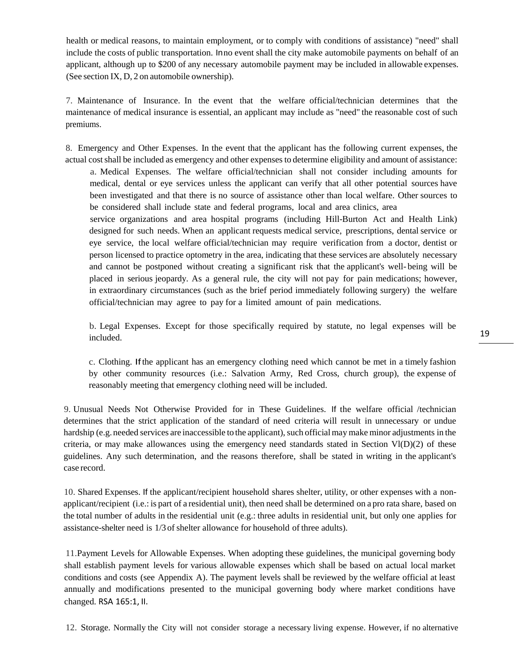health or medical reasons, to maintain employment, or to comply with conditions of assistance) "need" shall include the costs of public transportation. Inno event shall the city make automobile payments on behalf of an applicant, although up to \$200 of any necessary automobile payment may be included in allowable expenses. (See section IX, D, 2 on automobile ownership).

7. Maintenance of Insurance. In the event that the welfare official/technician determines that the maintenance of medical insurance is essential, an applicant may include as "need" the reasonable cost of such premiums.

8. Emergency and Other Expenses. In the event that the applicant has the following current expenses, the actual costshall be included as emergency and other expensesto determine eligibility and amount of assistance:

a. Medical Expenses. The welfare official/technician shall not consider including amounts for medical, dental or eye services unless the applicant can verify that all other potential sources have been investigated and that there is no source of assistance other than local welfare. Other sources to be considered shall include state and federal programs, local and area clinics, area

service organizations and area hospital programs (including Hill-Burton Act and Health Link) designed for such needs. When an applicant requests medical service, prescriptions, dental service or eye service, the local welfare official/technician may require verification from a doctor, dentist or person licensed to practice optometry in the area, indicating that these services are absolutely necessary and cannot be postponed without creating a significant risk that the applicant's well- being will be placed in serious jeopardy. As a general rule, the city will not pay for pain medications; however, in extraordinary circumstances (such as the brief period immediately following surgery) the welfare official/technician may agree to pay for a limited amount of pain medications.

b. Legal Expenses. Except for those specifically required by statute, no legal expenses will be included.

c. Clothing. Ifthe applicant has an emergency clothing need which cannot be met in a timely fashion by other community resources (i.e.: Salvation Army, Red Cross, church group), the expense of reasonably meeting that emergency clothing need will be included.

9. Unusual Needs Not Otherwise Provided for in These Guidelines. If the welfare official /technician determines that the strict application of the standard of need criteria will result in unnecessary or undue hardship (e.g. needed services are inaccessible to the applicant), such official may make minor adjustments in the criteria, or may make allowances using the emergency need standards stated in Section  $V(D)(2)$  of these guidelines. Any such determination, and the reasons therefore, shall be stated in writing in the applicant's case record.

10. Shared Expenses. If the applicant/recipient household shares shelter, utility, or other expenses with a nonapplicant/recipient (i.e.: is part of a residential unit), then need shall be determined on a pro rata share, based on the total number of adults in the residential unit (e.g.: three adults in residential unit, but only one applies for assistance-shelter need is 1/3 of shelter allowance for household of three adults).

11.Payment Levels for Allowable Expenses. When adopting these guidelines, the municipal governing body shall establish payment levels for various allowable expenses which shall be based on actual local market conditions and costs (see Appendix A). The payment levels shall be reviewed by the welfare official at least annually and modifications presented to the municipal governing body where market conditions have changed. RSA 165:1, II.

12. Storage. Normally the City will not consider storage a necessary living expense. However, if no alternative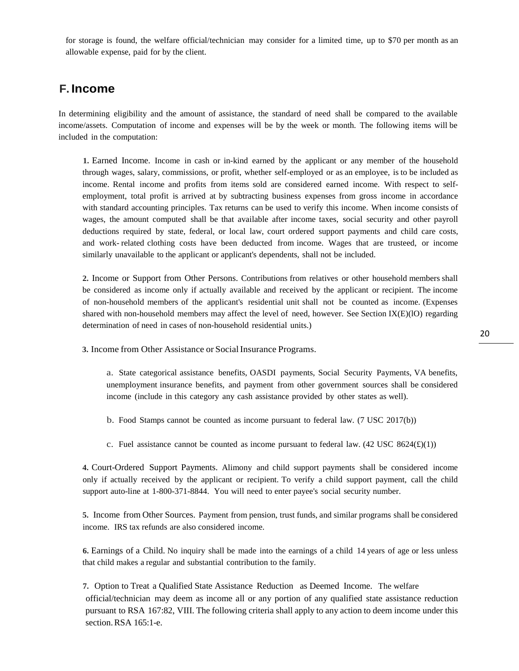for storage is found, the welfare official/technician may consider for a limited time, up to \$70 per month as an allowable expense, paid for by the client.

### **F. Income**

In determining eligibility and the amount of assistance, the standard of need shall be compared to the available income/assets. Computation of income and expenses will be by the week or month. The following items will be included in the computation:

**1.** Earned Income. Income in cash or in-kind earned by the applicant or any member of the household through wages, salary, commissions, or profit, whether self-employed or as an employee, is to be included as income. Rental income and profits from items sold are considered earned income. With respect to selfemployment, total profit is arrived at by subtracting business expenses from gross income in accordance with standard accounting principles. Tax returns can be used to verify this income. When income consists of wages, the amount computed shall be that available after income taxes, social security and other payroll deductions required by state, federal, or local law, court ordered support payments and child care costs, and work- related clothing costs have been deducted from income. Wages that are trusteed, or income similarly unavailable to the applicant or applicant's dependents, shall not be included.

**2.** Income or Support from Other Persons. Contributions from relatives or other household members shall be considered as income only if actually available and received by the applicant or recipient. The income of non-household members of the applicant's residential unit shall not be counted as income. (Expenses shared with non-household members may affect the level of need, however. See Section IX(E)(lO) regarding determination of need in cases of non-household residential units.)

**3.** Income from Other Assistance or Social Insurance Programs.

a. State categorical assistance benefits, OASDI payments, Social Security Payments, VA benefits, unemployment insurance benefits, and payment from other government sources shall be considered income (include in this category any cash assistance provided by other states as well).

b. Food Stamps cannot be counted as income pursuant to federal law. (7 USC 2017(b))

c. Fuel assistance cannot be counted as income pursuant to federal law.  $(42 \text{ USC } 8624(\text{£})(1))$ 

**4.** Court-Ordered Support Payments. Alimony and child support payments shall be considered income only if actually received by the applicant or recipient. To verify a child support payment, call the child support auto-line at 1-800-371-8844. You will need to enter payee's social security number.

**5.** Income from Other Sources. Payment from pension, trust funds, and similar programs shall be considered income. IRS tax refunds are also considered income.

**6.** Earnings of a Child. No inquiry shall be made into the earnings of a child 14 years of age or less unless that child makes a regular and substantial contribution to the family.

**7.** Option to Treat a Qualified State Assistance Reduction as Deemed Income. The welfare official/technician may deem as income all or any portion of any qualified state assistance reduction pursuant to RSA 167:82, VIII. The following criteria shall apply to any action to deem income under this section.RSA 165:1-e.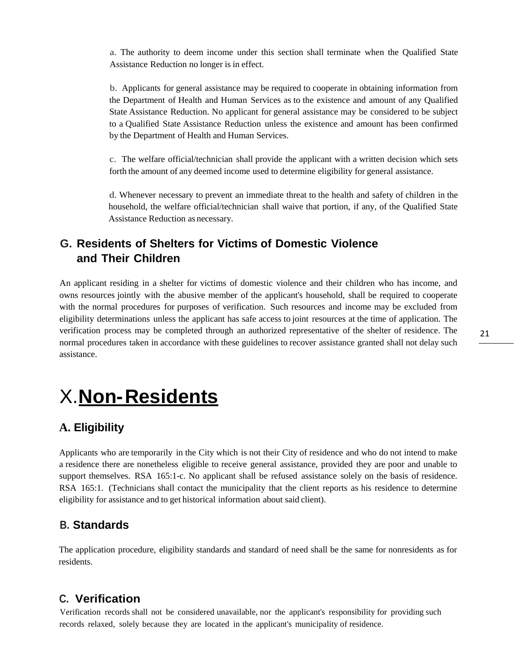a. The authority to deem income under this section shall terminate when the Qualified State Assistance Reduction no longer is in effect.

b. Applicants for general assistance may be required to cooperate in obtaining information from the Department of Health and Human Services as to the existence and amount of any Qualified State Assistance Reduction. No applicant for general assistance may be considered to be subject to a Qualified State Assistance Reduction unless the existence and amount has been confirmed by the Department of Health and Human Services.

c. The welfare official/technician shall provide the applicant with a written decision which sets forth the amount of any deemed income used to determine eligibility for general assistance.

d. Whenever necessary to prevent an immediate threat to the health and safety of children in the household, the welfare official/technician shall waive that portion, if any, of the Qualified State Assistance Reduction as necessary.

# **G. Residents of Shelters for Victims of Domestic Violence and Their Children**

An applicant residing in a shelter for victims of domestic violence and their children who has income, and owns resources jointly with the abusive member of the applicant's household, shall be required to cooperate with the normal procedures for purposes of verification. Such resources and income may be excluded from eligibility determinations unless the applicant has safe access to joint resources at the time of application. The verification process may be completed through an authorized representative of the shelter of residence. The normal procedures taken in accordance with these guidelines to recover assistance granted shall not delay such assistance.

# <span id="page-20-0"></span>X.**Non-Residents**

## **A. Eligibility**

Applicants who are temporarily in the City which is not their City of residence and who do not intend to make a residence there are nonetheless eligible to receive general assistance, provided they are poor and unable to support themselves. RSA 165:1-c. No applicant shall be refused assistance solely on the basis of residence. RSA 165:1. (Technicians shall contact the municipality that the client reports as his residence to determine eligibility for assistance and to get historical information about said client).

## **B. Standards**

The application procedure, eligibility standards and standard of need shall be the same for nonresidents as for residents.

### **C. Verification**

Verification records shall not be considered unavailable, nor the applicant's responsibility for providing such records relaxed, solely because they are located in the applicant's municipality of residence.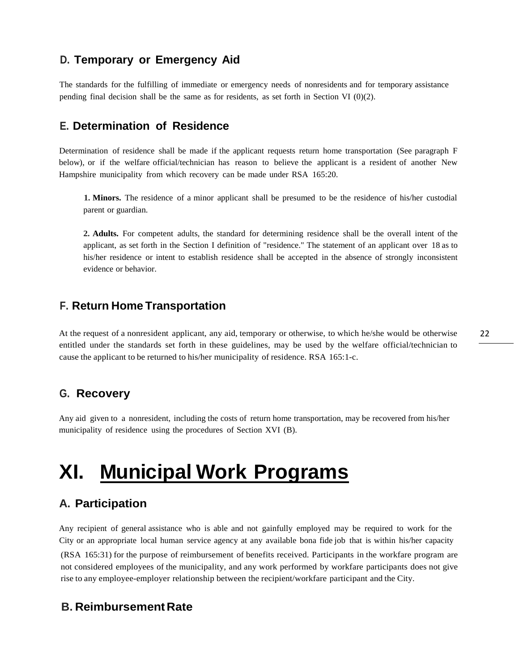# **D. Temporary or Emergency Aid**

The standards for the fulfilling of immediate or emergency needs of nonresidents and for temporary assistance pending final decision shall be the same as for residents, as set forth in Section VI (0)(2).

### **E. Determination of Residence**

Determination of residence shall be made if the applicant requests return home transportation (See paragraph F below), or if the welfare official/technician has reason to believe the applicant is a resident of another New Hampshire municipality from which recovery can be made under RSA 165:20.

**1. Minors.** The residence of a minor applicant shall be presumed to be the residence of his/her custodial parent or guardian.

**2. Adults.** For competent adults, the standard for determining residence shall be the overall intent of the applicant, as set forth in the Section I definition of "residence." The statement of an applicant over 18 as to his/her residence or intent to establish residence shall be accepted in the absence of strongly inconsistent evidence or behavior.

#### **F. Return Home Transportation**

At the request of a nonresident applicant, any aid, temporary or otherwise, to which he/she would be otherwise entitled under the standards set forth in these guidelines, may be used by the welfare official/technician to cause the applicant to be returned to his/her municipality of residence. RSA 165:1-c.

#### **G. Recovery**

Any aid given to a nonresident, including the costs of return home transportation, may be recovered from his/her municipality of residence using the procedures of Section XVI (B).

# **XI. Municipal Work Programs**

### **A. Participation**

Any recipient of general assistance who is able and not gainfully employed may be required to work for the City or an appropriate local human service agency at any available bona fide job that is within his/her capacity (RSA 165:31) for the purpose of reimbursement of benefits received. Participants in the workfare program are not considered employees of the municipality, and any work performed by workfare participants does not give rise to any employee-employer relationship between the recipient/workfare participant and the City.

### **B. ReimbursementRate**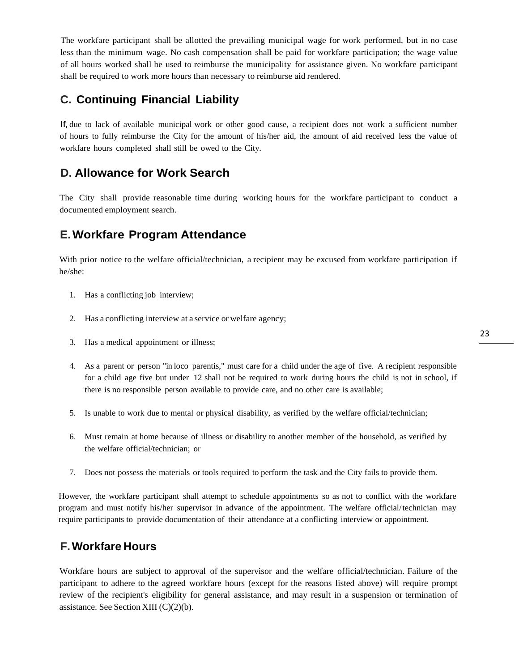The workfare participant shall be allotted the prevailing municipal wage for work performed, but in no case less than the minimum wage. No cash compensation shall be paid for workfare participation; the wage value of all hours worked shall be used to reimburse the municipality for assistance given. No workfare participant shall be required to work more hours than necessary to reimburse aid rendered.

# **C. Continuing Financial Liability**

If, due to lack of available municipal work or other good cause, a recipient does not work a sufficient number of hours to fully reimburse the City for the amount of his/her aid, the amount of aid received less the value of workfare hours completed shall still be owed to the City.

## **D. Allowance for Work Search**

The City shall provide reasonable time during working hours for the workfare participant to conduct a documented employment search.

## **E.Workfare Program Attendance**

With prior notice to the welfare official/technician, a recipient may be excused from workfare participation if he/she:

- 1. Has a conflicting job interview;
- 2. Has a conflicting interview at a service or welfare agency;
- 3. Has a medical appointment or illness;
- 4. As a parent or person "in loco parentis," must care for a child under the age of five. A recipient responsible for a child age five but under 12 shall not be required to work during hours the child is not in school, if there is no responsible person available to provide care, and no other care is available;
- 5. Is unable to work due to mental or physical disability, as verified by the welfare official/technician;
- 6. Must remain at home because of illness or disability to another member of the household, as verified by the welfare official/technician; or
- 7. Does not possess the materials or tools required to perform the task and the City fails to provide them.

However, the workfare participant shall attempt to schedule appointments so as not to conflict with the workfare program and must notify his/her supervisor in advance of the appointment. The welfare official/technician may require participants to provide documentation of their attendance at a conflicting interview or appointment.

## **F.Workfare Hours**

Workfare hours are subject to approval of the supervisor and the welfare official/technician. Failure of the participant to adhere to the agreed workfare hours (except for the reasons listed above) will require prompt review of the recipient's eligibility for general assistance, and may result in a suspension or termination of assistance. See Section XIII (C)(2)(b).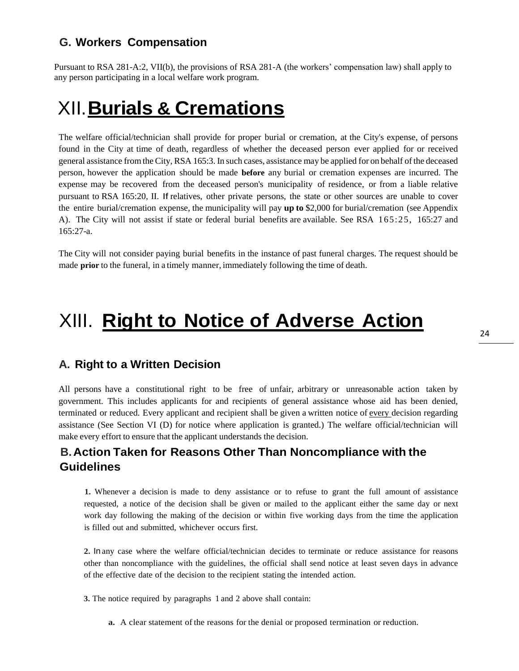## **G. Workers Compensation**

Pursuant to RSA 281-A:2, VII(b), the provisions of RSA 281-A (the workers' compensation law) shall apply to any person participating in a local welfare work program.

# <span id="page-23-0"></span>XII.**Burials & Cremations**

The welfare official/technician shall provide for proper burial or cremation, at the City's expense, of persons found in the City at time of death, regardless of whether the deceased person ever applied for or received general assistance fromthe City, RSA 165:3. In such cases, assistance may be applied for on behalf ofthe deceased person, however the application should be made **before** any burial or cremation expenses are incurred. The expense may be recovered from the deceased person's municipality of residence, or from a liable relative pursuant to RSA 165:20, II. If relatives, other private persons, the state or other sources are unable to cover the entire burial/cremation expense, the municipality will pay **up to** \$2,000 for burial/cremation (see Appendix A). The City will not assist if state or federal burial benefits are available. See RSA 165:25, 165:27 and 165:27-a.

The City will not consider paying burial benefits in the instance of past funeral charges. The request should be made **prior** to the funeral, in a timely manner, immediately following the time of death.

# <span id="page-23-1"></span>XIII. **Right to Notice of Adverse Action**

### **A. Right to a Written Decision**

All persons have a constitutional right to be free of unfair, arbitrary or unreasonable action taken by government. This includes applicants for and recipients of general assistance whose aid has been denied, terminated or reduced. Every applicant and recipient shall be given a written notice of every decision regarding assistance (See Section VI (D) for notice where application is granted.) The welfare official/technician will make every effort to ensure that the applicant understands the decision.

## **B.Action Taken for Reasons Other Than Noncompliance with the Guidelines**

**1.** Whenever a decision is made to deny assistance or to refuse to grant the full amount of assistance requested, a notice of the decision shall be given or mailed to the applicant either the same day or next work day following the making of the decision or within five working days from the time the application is filled out and submitted, whichever occurs first.

**2.** In any case where the welfare official/technician decides to terminate or reduce assistance for reasons other than noncompliance with the guidelines, the official shall send notice at least seven days in advance of the effective date of the decision to the recipient stating the intended action.

**3.** The notice required by paragraphs 1 and 2 above shall contain:

**a.** A clear statement of the reasons for the denial or proposed termination or reduction.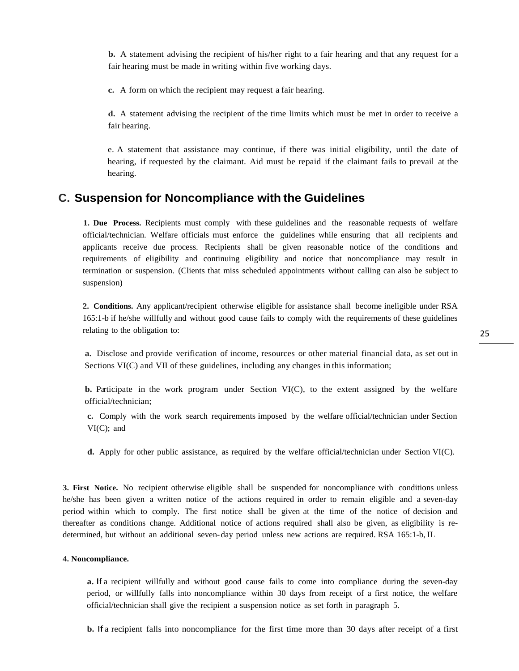**b.** A statement advising the recipient of his/her right to a fair hearing and that any request for a fair hearing must be made in writing within five working days.

**c.** A form on which the recipient may request a fair hearing.

**d.** A statement advising the recipient of the time limits which must be met in order to receive a fair hearing.

e. A statement that assistance may continue, if there was initial eligibility, until the date of hearing, if requested by the claimant. Aid must be repaid if the claimant fails to prevail at the hearing.

#### **C. Suspension for Noncompliance with the Guidelines**

**1. Due Process.** Recipients must comply with these guidelines and the reasonable requests of welfare official/technician. Welfare officials must enforce the guidelines while ensuring that all recipients and applicants receive due process. Recipients shall be given reasonable notice of the conditions and requirements of eligibility and continuing eligibility and notice that noncompliance may result in termination or suspension. (Clients that miss scheduled appointments without calling can also be subject to suspension)

**2. Conditions.** Any applicant/recipient otherwise eligible for assistance shall become ineligible under RSA 165:1-b if he/she willfully and without good cause fails to comply with the requirements of these guidelines relating to the obligation to:

**a.** Disclose and provide verification of income, resources or other material financial data, as set out in Sections VI(C) and VII of these guidelines, including any changes in this information;

**b.** Participate in the work program under Section VI(C), to the extent assigned by the welfare official/technician;

**c.** Comply with the work search requirements imposed by the welfare official/technician under Section VI(C); and

**d.** Apply for other public assistance, as required by the welfare official/technician under Section VI(C).

**3. First Notice.** No recipient otherwise eligible shall be suspended for noncompliance with conditions unless he/she has been given a written notice of the actions required in order to remain eligible and a seven-day period within which to comply. The first notice shall be given at the time of the notice of decision and thereafter as conditions change. Additional notice of actions required shall also be given, as eligibility is redetermined, but without an additional seven-day period unless new actions are required. RSA 165:1-b, IL

#### **4. Noncompliance.**

**a.** If a recipient willfully and without good cause fails to come into compliance during the seven-day period, or willfully falls into noncompliance within 30 days from receipt of a first notice, the welfare official/technician shall give the recipient a suspension notice as set forth in paragraph 5.

**b.** If a recipient falls into noncompliance for the first time more than 30 days after receipt of a first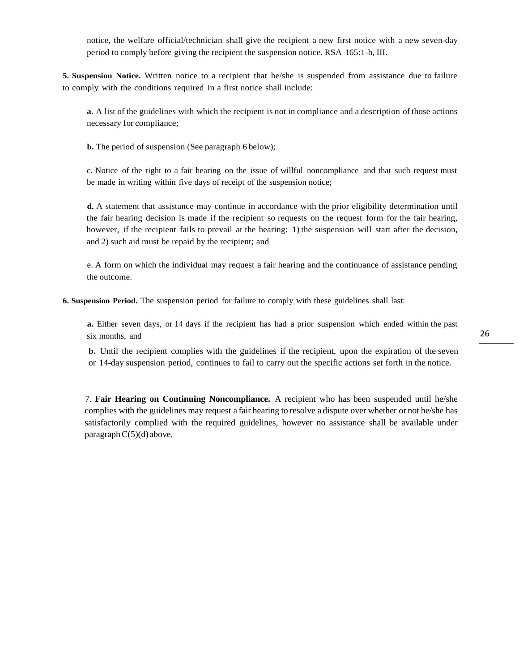notice, the welfare official/technician shall give the recipient a new first notice with a new seven-day period to comply before giving the recipient the suspension notice. RSA 165:1-b, III.

**5. Suspension Notice.** Written notice to a recipient that he/she is suspended from assistance due to failure to comply with the conditions required in a first notice shall include:

**a.** A list of the guidelines with which the recipient is not in compliance and a description of those actions necessary for compliance;

**b.** The period of suspension (See paragraph 6 below);

c. Notice of the right to a fair hearing on the issue of willful noncompliance and that such request must be made in writing within five days of receipt of the suspension notice;

**d.** A statement that assistance may continue in accordance with the prior eligibility determination until the fair hearing decision is made if the recipient so requests on the request form for the fair hearing, however, if the recipient fails to prevail at the hearing: 1) the suspension will start after the decision, and 2) such aid must be repaid by the recipient; and

e. A form on which the individual may request a fair hearing and the continuance of assistance pending the outcome.

**6. Suspension Period.** The suspension period for failure to comply with these guidelines shall last:

**a.** Either seven days, or 14 days if the recipient has had a prior suspension which ended within the past six months, and

**b.** Until the recipient complies with the guidelines if the recipient, upon the expiration of the seven or 14-day suspension period, continues to fail to carry out the specific actions set forth in the notice.

7. **Fair Hearing on Continuing Noncompliance.** A recipient who has been suspended until he/she complies with the guidelines may request a fair hearing to resolve a dispute over whether or not he/she has satisfactorily complied with the required guidelines, however no assistance shall be available under paragraph $C(5)(d)$ above.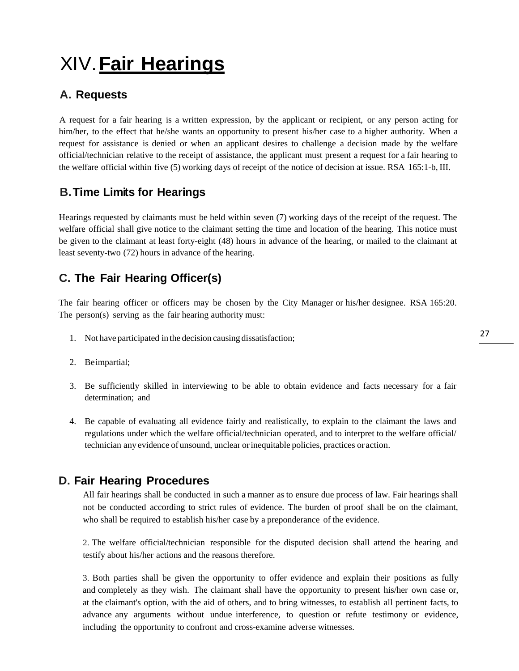# XIV.**Fair Hearings**

# **A. Requests**

A request for a fair hearing is a written expression, by the applicant or recipient, or any person acting for him/her, to the effect that he/she wants an opportunity to present his/her case to a higher authority. When a request for assistance is denied or when an applicant desires to challenge a decision made by the welfare official/technician relative to the receipt of assistance, the applicant must present a request for a fair hearing to the welfare official within five (5) working days of receipt of the notice of decision at issue. RSA 165:1-b, III.

# **B.Time Limits for Hearings**

Hearings requested by claimants must be held within seven (7) working days of the receipt of the request. The welfare official shall give notice to the claimant setting the time and location of the hearing. This notice must be given to the claimant at least forty-eight (48) hours in advance of the hearing, or mailed to the claimant at least seventy-two (72) hours in advance of the hearing.

# **C. The Fair Hearing Officer(s)**

The fair hearing officer or officers may be chosen by the City Manager or his/her designee. RSA 165:20. The person(s) serving as the fair hearing authority must:

- 1. Not have participated in the decision causing dissatisfaction;
- 2. Beimpartial;
- 3. Be sufficiently skilled in interviewing to be able to obtain evidence and facts necessary for a fair determination; and
- 4. Be capable of evaluating all evidence fairly and realistically, to explain to the claimant the laws and regulations under which the welfare official/technician operated, and to interpret to the welfare official/ technician any evidence of unsound, unclear orinequitable policies, practices or action.

## **D. Fair Hearing Procedures**

All fair hearings shall be conducted in such a manner as to ensure due process of law. Fair hearings shall not be conducted according to strict rules of evidence. The burden of proof shall be on the claimant, who shall be required to establish his/her case by a preponderance of the evidence.

2. The welfare official/technician responsible for the disputed decision shall attend the hearing and testify about his/her actions and the reasons therefore.

3. Both parties shall be given the opportunity to offer evidence and explain their positions as fully and completely as they wish. The claimant shall have the opportunity to present his/her own case or, at the claimant's option, with the aid of others, and to bring witnesses, to establish all pertinent facts, to advance any arguments without undue interference, to question or refute testimony or evidence, including the opportunity to confront and cross-examine adverse witnesses.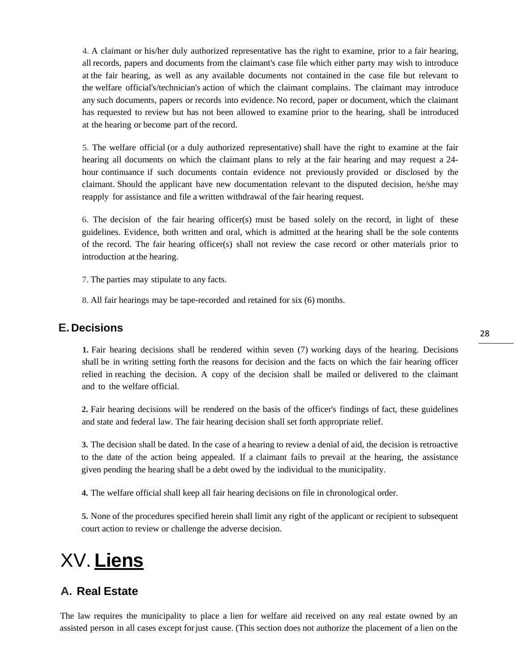4. A claimant or his/her duly authorized representative has the right to examine, prior to a fair hearing, all records, papers and documents from the claimant's case file which either party may wish to introduce at the fair hearing, as well as any available documents not contained in the case file but relevant to the welfare official's/technician's action of which the claimant complains. The claimant may introduce any such documents, papers or records into evidence. No record, paper or document, which the claimant has requested to review but has not been allowed to examine prior to the hearing, shall be introduced at the hearing or become part of the record.

5. The welfare official (or a duly authorized representative) shall have the right to examine at the fair hearing all documents on which the claimant plans to rely at the fair hearing and may request a 24 hour continuance if such documents contain evidence not previously provided or disclosed by the claimant. Should the applicant have new documentation relevant to the disputed decision, he/she may reapply for assistance and file a written withdrawal of the fair hearing request.

6. The decision of the fair hearing officer(s) must be based solely on the record, in light of these guidelines. Evidence, both written and oral, which is admitted at the hearing shall be the sole contents of the record. The fair hearing officer(s) shall not review the case record or other materials prior to introduction at the hearing.

7. The parties may stipulate to any facts.

8. All fair hearings may be tape-recorded and retained for six (6) months.

### **E. Decisions**

**1.** Fair hearing decisions shall be rendered within seven (7) working days of the hearing. Decisions shall be in writing setting forth the reasons for decision and the facts on which the fair hearing officer relied in reaching the decision. A copy of the decision shall be mailed or delivered to the claimant and to the welfare official.

**2.** Fair hearing decisions will be rendered on the basis of the officer's findings of fact, these guidelines and state and federal law. The fair hearing decision shall set forth appropriate relief.

**3.** The decision shall be dated. In the case of a hearing to review a denial of aid, the decision is retroactive to the date of the action being appealed. If a claimant fails to prevail at the hearing, the assistance given pending the hearing shall be a debt owed by the individual to the municipality.

**4.** The welfare official shall keep all fair hearing decisions on file in chronological order.

**5.** None of the procedures specified herein shall limit any right of the applicant or recipient to subsequent court action to review or challenge the adverse decision.

# <span id="page-27-0"></span>XV. **Liens**

### **A. Real Estate**

The law requires the municipality to place a lien for welfare aid received on any real estate owned by an assisted person in all cases except forjust cause. (This section does not authorize the placement of a lien on the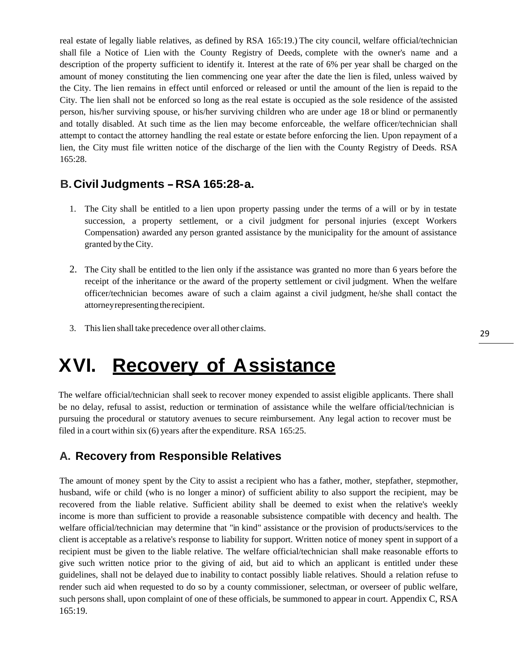real estate of legally liable relatives, as defined by RSA 165:19.) The city council, welfare official/technician shall file a Notice of Lien with the County Registry of Deeds, complete with the owner's name and a description of the property sufficient to identify it. Interest at the rate of 6% per year shall be charged on the amount of money constituting the lien commencing one year after the date the lien is filed, unless waived by the City. The lien remains in effect until enforced or released or until the amount of the lien is repaid to the City. The lien shall not be enforced so long as the real estate is occupied as the sole residence of the assisted person, his/her surviving spouse, or his/her surviving children who are under age 18 or blind or permanently and totally disabled. At such time as the lien may become enforceable, the welfare officer/technician shall attempt to contact the attorney handling the real estate or estate before enforcing the lien. Upon repayment of a lien, the City must file written notice of the discharge of the lien with the County Registry of Deeds. RSA 165:28.

### **B.Civil Judgments -RSA 165:28-a.**

- 1. The City shall be entitled to a lien upon property passing under the terms of a will or by in testate succession, a property settlement, or a civil judgment for personal injuries (except Workers Compensation) awarded any person granted assistance by the municipality for the amount of assistance granted by the City.
- 2. The City shall be entitled to the lien only if the assistance was granted no more than 6 years before the receipt of the inheritance or the award of the property settlement or civil judgment. When the welfare officer/technician becomes aware of such a claim against a civil judgment, he/she shall contact the attorney representing the recipient.
- 3. Thislien shall take precedence over all other claims.

# <span id="page-28-0"></span>**XVI. Recovery of Assistance**

The welfare official/technician shall seek to recover money expended to assist eligible applicants. There shall be no delay, refusal to assist, reduction or termination of assistance while the welfare official/technician is pursuing the procedural or statutory avenues to secure reimbursement. Any legal action to recover must be filed in a court within six (6) years after the expenditure. RSA 165:25.

### **A. Recovery from Responsible Relatives**

The amount of money spent by the City to assist a recipient who has a father, mother, stepfather, stepmother, husband, wife or child (who is no longer a minor) of sufficient ability to also support the recipient, may be recovered from the liable relative. Sufficient ability shall be deemed to exist when the relative's weekly income is more than sufficient to provide a reasonable subsistence compatible with decency and health. The welfare official/technician may determine that "in kind" assistance or the provision of products/services to the client is acceptable as a relative's response to liability for support. Written notice of money spent in support of a recipient must be given to the liable relative. The welfare official/technician shall make reasonable efforts to give such written notice prior to the giving of aid, but aid to which an applicant is entitled under these guidelines, shall not be delayed due to inability to contact possibly liable relatives. Should a relation refuse to render such aid when requested to do so by a county commissioner, selectman, or overseer of public welfare, such persons shall, upon complaint of one of these officials, be summoned to appear in court. Appendix C, RSA 165:19.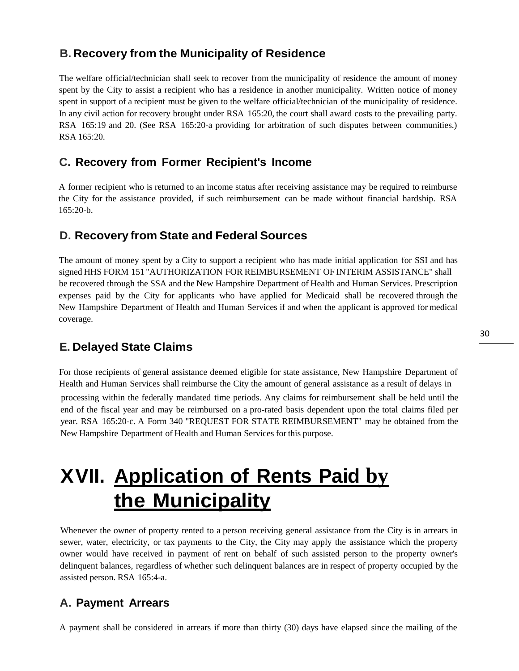### **B. Recovery from the Municipality of Residence**

The welfare official/technician shall seek to recover from the municipality of residence the amount of money spent by the City to assist a recipient who has a residence in another municipality. Written notice of money spent in support of a recipient must be given to the welfare official/technician of the municipality of residence. In any civil action for recovery brought under RSA 165:20, the court shall award costs to the prevailing party. RSA 165:19 and 20. (See RSA 165:20-a providing for arbitration of such disputes between communities.) RSA 165:20.

### **C. Recovery from Former Recipient's Income**

A former recipient who is returned to an income status after receiving assistance may be required to reimburse the City for the assistance provided, if such reimbursement can be made without financial hardship. RSA 165:20-b.

### **D. Recovery from State and Federal Sources**

The amount of money spent by a City to support a recipient who has made initial application for SSI and has signed HHS FORM 151 "AUTHORIZATION FOR REIMBURSEMENT OF INTERIM ASSISTANCE" shall be recovered through the SSA and the New Hampshire Department of Health and Human Services. Prescription expenses paid by the City for applicants who have applied for Medicaid shall be recovered through the New Hampshire Department of Health and Human Services if and when the applicant is approved for medical coverage.

## **E. Delayed State Claims**

For those recipients of general assistance deemed eligible for state assistance, New Hampshire Department of Health and Human Services shall reimburse the City the amount of general assistance as a result of delays in

processing within the federally mandated time periods. Any claims for reimbursement shall be held until the end of the fiscal year and may be reimbursed on a pro-rated basis dependent upon the total claims filed per year. RSA 165:20-c. A Form 340 "REQUEST FOR STATE REIMBURSEMENT" may be obtained from the New Hampshire Department of Health and Human Services for this purpose.

# **XVII. Application of Rents Paid by the Municipality**

Whenever the owner of property rented to a person receiving general assistance from the City is in arrears in sewer, water, electricity, or tax payments to the City, the City may apply the assistance which the property owner would have received in payment of rent on behalf of such assisted person to the property owner's delinquent balances, regardless of whether such delinquent balances are in respect of property occupied by the assisted person. RSA 165:4-a.

### **A. Payment Arrears**

A payment shall be considered in arrears if more than thirty (30) days have elapsed since the mailing of the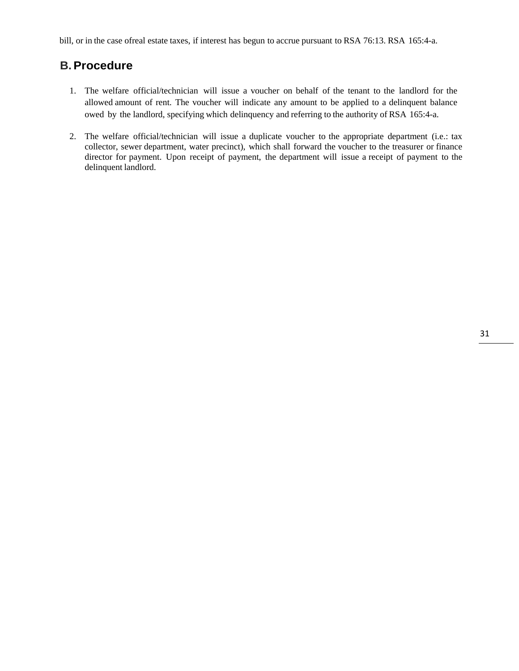bill, or in the case ofreal estate taxes, if interest has begun to accrue pursuant to RSA 76:13. RSA 165:4-a.

### **B.Procedure**

- 1. The welfare official/technician will issue a voucher on behalf of the tenant to the landlord for the allowed amount of rent. The voucher will indicate any amount to be applied to a delinquent balance owed by the landlord, specifying which delinquency and referring to the authority of RSA 165:4-a.
- 2. The welfare official/technician will issue a duplicate voucher to the appropriate department (i.e.: tax collector, sewer department, water precinct), which shall forward the voucher to the treasurer or finance director for payment. Upon receipt of payment, the department will issue a receipt of payment to the delinquent landlord.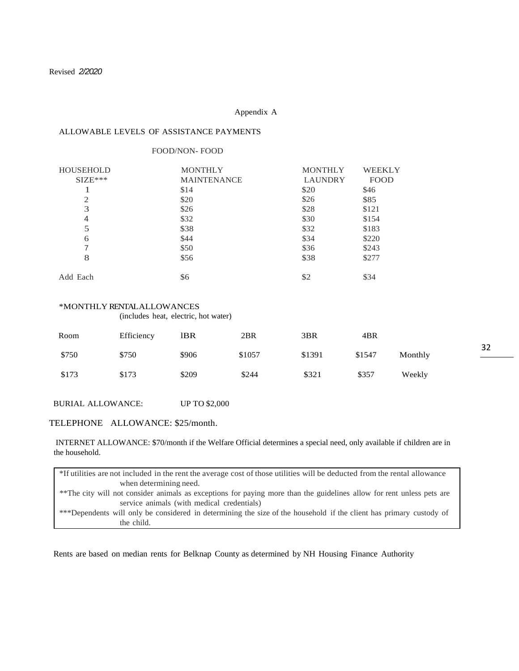#### Appendix A

#### ALLOWABLE LEVELS OF ASSISTANCE PAYMENTS

#### FOOD/NON- FOOD

| <b>HOUSEHOLD</b> | <b>MONTHLY</b>     | <b>MONTHLY</b> | <b>WEEKLY</b> |
|------------------|--------------------|----------------|---------------|
| $SIZE***$        | <b>MAINTENANCE</b> | <b>LAUNDRY</b> | <b>FOOD</b>   |
|                  | \$14               | \$20           | \$46          |
| 2                | \$20               | \$26           | \$85          |
| 3                | \$26               | \$28           | \$121         |
| 4                | \$32               | \$30           | \$154         |
| 5                | \$38               | \$32           | \$183         |
| 6                | \$44               | \$34           | \$220         |
| 7                | \$50               | \$36           | \$243         |
| 8                | \$56               | \$38           | \$277         |
| Add Each         | \$6                | \$2            | \$34          |

#### \*MONTHLY RENTAL ALLOWANCES

(includes heat, electric, hot water)

| Room  | Efficiency | 1BR   | 2BR    | 3 <sub>BR</sub> | 4BR    |         |
|-------|------------|-------|--------|-----------------|--------|---------|
| \$750 | \$750      | \$906 | \$1057 | \$1391          | \$1547 | Monthly |
| \$173 | \$173      | \$209 | \$244  | \$321           | \$357  | Weekly  |

BURIAL ALLOWANCE: UP TO \$2,000

#### TELEPHONE ALLOWANCE: \$25/month.

INTERNET ALLOWANCE: \$70/month if the Welfare Official determines a special need, only available if children are in the household.

\*If utilities are not included in the rent the average cost of those utilities will be deducted from the rental allowance when determining need. \*\*The city will not consider animals as exceptions for paying more than the guidelines allow for rent unless pets are service animals (with medical credentials) \*\*\*Dependents will only be considered in determining the size of the household if the client has primary custody of the child.

Rents are based on median rents for Belknap County as determined by NH Housing Finance Authority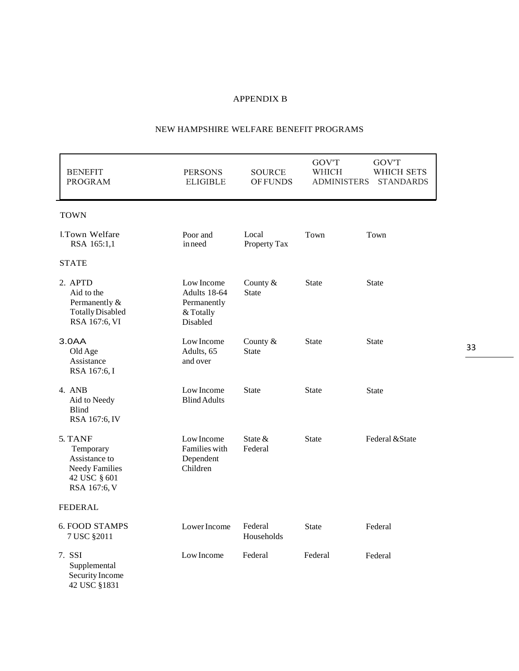#### APPENDIX B

#### NEW HAMPSHIRE WELFARE BENEFIT PROGRAMS

| <b>BENEFIT</b><br><b>PROGRAM</b>                                                               | <b>PERSONS</b><br><b>ELIGIBLE</b>                                  | SOURCE<br><b>OF FUNDS</b> | <b>GOV'T</b><br>WHICH<br><b>ADMINISTERS</b> | GOV'T<br>WHICH SETS<br><b>STANDARDS</b> |
|------------------------------------------------------------------------------------------------|--------------------------------------------------------------------|---------------------------|---------------------------------------------|-----------------------------------------|
| <b>TOWN</b>                                                                                    |                                                                    |                           |                                             |                                         |
| I.Town Welfare<br>RSA 165:1,1                                                                  | Poor and<br>inneed                                                 | Local<br>Property Tax     | Town                                        | Town                                    |
| <b>STATE</b>                                                                                   |                                                                    |                           |                                             |                                         |
| 2. APTD<br>Aid to the<br>Permanently &<br><b>Totally Disabled</b><br>RSA 167:6, VI             | Low Income<br>Adults 18-64<br>Permanently<br>& Totally<br>Disabled | County &<br><b>State</b>  | <b>State</b>                                | <b>State</b>                            |
| 3.0AA<br>Old Age<br>Assistance<br>RSA 167:6, I                                                 | Low Income<br>Adults, 65<br>and over                               | County &<br><b>State</b>  | <b>State</b>                                | <b>State</b>                            |
| 4. ANB<br>Aid to Needy<br><b>Blind</b><br>RSA 167:6, IV                                        | Low Income<br><b>Blind Adults</b>                                  | <b>State</b>              | <b>State</b>                                | <b>State</b>                            |
| 5. TANF<br>Temporary<br>Assistance to<br><b>Needy Families</b><br>42 USC § 601<br>RSA 167:6, V | Low Income<br>Families with<br>Dependent<br>Children               | State $&$<br>Federal      | <b>State</b>                                | Federal & State                         |
| <b>FEDERAL</b>                                                                                 |                                                                    |                           |                                             |                                         |
| <b>6. FOOD STAMPS</b><br>7 USC §2011                                                           | Lower Income                                                       | Federal<br>Households     | <b>State</b>                                | Federal                                 |
| 7. SSI<br>Supplemental<br>Security Income<br>42 USC §1831                                      | Low Income                                                         | Federal                   | Federal                                     | Federal                                 |